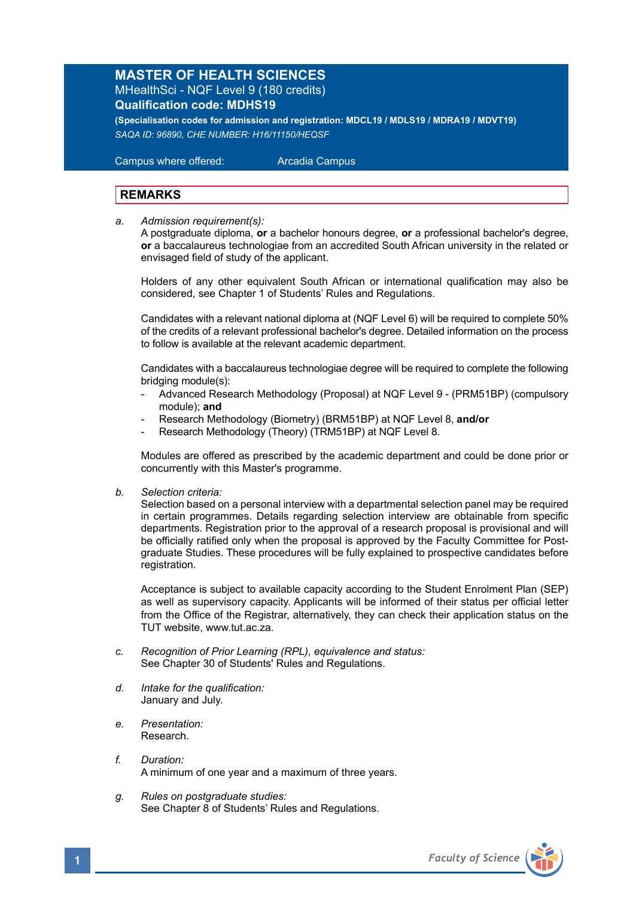## **MASTER OF HEALTH SCIENCES** MHealthSci - NQF Level 9 (180 credits)

**Qualification code: MDHS19**

**(Specialisation codes for admission and registration: MDCL19 / MDLS19 / MDRA19 / MDVT19)** *SAQA ID: 96890, CHE NUMBER: H16/11150/HEQSF* 

 Campus where offered: Arcadia Campus

## **REMARKS**

*a. Admission requirement(s):* 

A postgraduate diploma, **or** a bachelor honours degree, **or** a professional bachelor's degree, **or** a baccalaureus technologiae from an accredited South African university in the related or envisaged field of study of the applicant.

Holders of any other equivalent South African or international qualification may also be considered, see Chapter 1 of Students' Rules and Regulations.

 Candidates with a relevant national diploma at (NQF Level 6) will be required to complete 50% of the credits of a relevant professional bachelor's degree. Detailed information on the process to follow is available at the relevant academic department.

 Candidates with a baccalaureus technologiae degree will be required to complete the following bridging module(s):

- Advanced Research Methodology (Proposal) at NQF Level 9 (PRM51BP) (compulsory module); **and**
- Research Methodology (Biometry) (BRM51BP) at NQF Level 8, **and/or**
- Research Methodology (Theory) (TRM51BP) at NQF Level 8.

Modules are offered as prescribed by the academic department and could be done prior or concurrently with this Master's programme.

*b. Selection criteria:*

Selection based on a personal interview with a departmental selection panel may be required in certain programmes. Details regarding selection interview are obtainable from specific departments. Registration prior to the approval of a research proposal is provisional and will be officially ratified only when the proposal is approved by the Faculty Committee for Postgraduate Studies. These procedures will be fully explained to prospective candidates before registration.

Acceptance is subject to available capacity according to the Student Enrolment Plan (SEP) as well as supervisory capacity. Applicants will be informed of their status per official letter from the Office of the Registrar, alternatively, they can check their application status on the TUT website, www.tut.ac.za.

- *c. Recognition of Prior Learning (RPL), equivalence and status:* See Chapter 30 of Students' Rules and Regulations.
- *d. Intake for the qualification:* January and July.
- *e. Presentation:* Research.
- *f. Duration:*  A minimum of one year and a maximum of three years.
- *g. Rules on postgraduate studies:* See Chapter 8 of Students' Rules and Regulations.